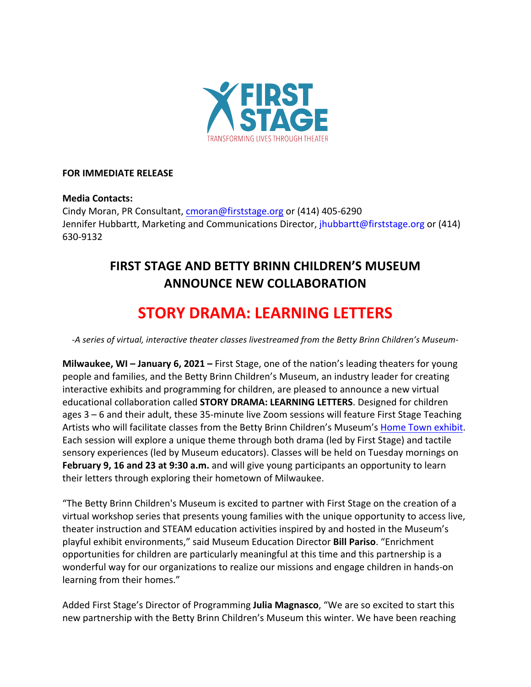

### **FOR IMMEDIATE RELEASE**

### **Media Contacts:**

Cindy Moran, PR Consultant, cmoran@firststage.org or (414) 405-6290 Jennifer Hubbartt, Marketing and Communications Director, *jhubbartt@firststage.org* or (414) 630-9132 

## **FIRST STAGE AND BETTY BRINN CHILDREN'S MUSEUM ANNOUNCE NEW COLLABORATION**

# **STORY DRAMA: LEARNING LETTERS**

-A series of virtual, interactive theater classes livestreamed from the Betty Brinn Children's Museum-

**Milwaukee, WI – January 6, 2021 – First Stage, one of the nation's leading theaters for young** people and families, and the Betty Brinn Children's Museum, an industry leader for creating interactive exhibits and programming for children, are pleased to announce a new virtual educational collaboration called **STORY DRAMA: LEARNING LETTERS**. Designed for children ages  $3 - 6$  and their adult, these 35-minute live Zoom sessions will feature First Stage Teaching Artists who will facilitate classes from the Betty Brinn Children's Museum's Home Town exhibit. Each session will explore a unique theme through both drama (led by First Stage) and tactile sensory experiences (led by Museum educators). Classes will be held on Tuesday mornings on **February 9, 16 and 23 at 9:30 a.m.** and will give young participants an opportunity to learn their letters through exploring their hometown of Milwaukee.

"The Betty Brinn Children's Museum is excited to partner with First Stage on the creation of a virtual workshop series that presents young families with the unique opportunity to access live, theater instruction and STEAM education activities inspired by and hosted in the Museum's playful exhibit environments," said Museum Education Director **Bill Pariso**. "Enrichment opportunities for children are particularly meaningful at this time and this partnership is a wonderful way for our organizations to realize our missions and engage children in hands-on learning from their homes."

Added First Stage's Director of Programming **Julia Magnasco**, "We are so excited to start this new partnership with the Betty Brinn Children's Museum this winter. We have been reaching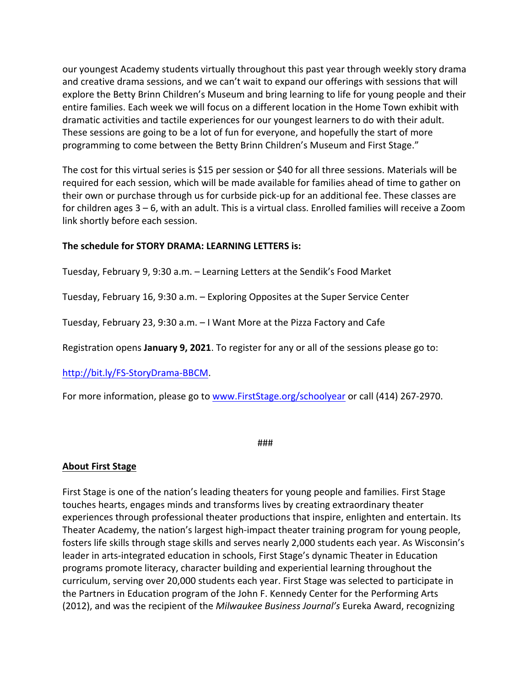our youngest Academy students virtually throughout this past year through weekly story drama and creative drama sessions, and we can't wait to expand our offerings with sessions that will explore the Betty Brinn Children's Museum and bring learning to life for young people and their entire families. Each week we will focus on a different location in the Home Town exhibit with dramatic activities and tactile experiences for our youngest learners to do with their adult. These sessions are going to be a lot of fun for everyone, and hopefully the start of more programming to come between the Betty Brinn Children's Museum and First Stage."

The cost for this virtual series is \$15 per session or \$40 for all three sessions. Materials will be required for each session, which will be made available for families ahead of time to gather on their own or purchase through us for curbside pick-up for an additional fee. These classes are for children ages  $3 - 6$ , with an adult. This is a virtual class. Enrolled families will receive a Zoom link shortly before each session.

### The schedule for STORY DRAMA: LEARNING LETTERS is:

Tuesday, February 9, 9:30 a.m. – Learning Letters at the Sendik's Food Market

Tuesday, February 16, 9:30 a.m. - Exploring Opposites at the Super Service Center

Tuesday, February 23, 9:30 a.m.  $-1$  Want More at the Pizza Factory and Cafe

Registration opens **January 9, 2021**. To register for any or all of the sessions please go to:

http://bit.ly/FS-StoryDrama-BBCM.

For more information, please go to www.FirstStage.org/schoolyear or call (414) 267-2970.

###

#### **About First Stage**

First Stage is one of the nation's leading theaters for young people and families. First Stage touches hearts, engages minds and transforms lives by creating extraordinary theater experiences through professional theater productions that inspire, enlighten and entertain. Its Theater Academy, the nation's largest high-impact theater training program for young people, fosters life skills through stage skills and serves nearly 2,000 students each year. As Wisconsin's leader in arts-integrated education in schools, First Stage's dynamic Theater in Education programs promote literacy, character building and experiential learning throughout the curriculum, serving over 20,000 students each year. First Stage was selected to participate in the Partners in Education program of the John F. Kennedy Center for the Performing Arts (2012), and was the recipient of the *Milwaukee Business Journal's* Eureka Award, recognizing